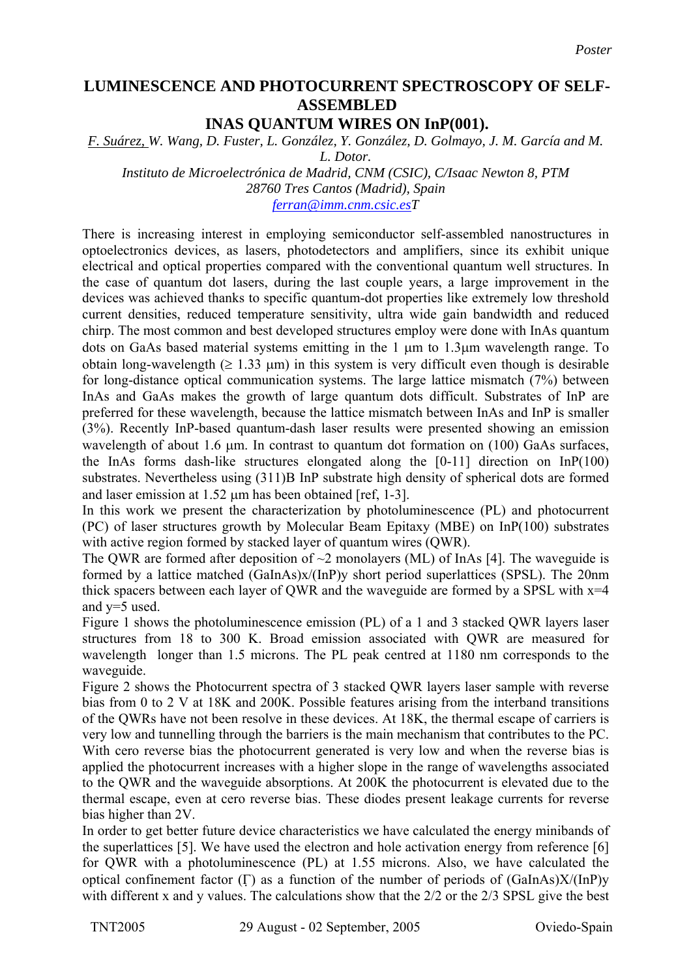## **LUMINESCENCE AND PHOTOCURRENT SPECTROSCOPY OF SELF-ASSEMBLED INAS QUANTUM WIRES ON InP(001).**

*F. Suárez, W. Wang, D. Fuster, L. González, Y. González, D. Golmayo, J. M. García and M.* 

*Instituto de Microelectrónica de Madrid, CNM (CSIC), C/Isaac Newton 8, PTM 28760 Tres Cantos (Madrid), Spain* 

*[ferran@imm.cnm.csic.esT](mailto:ferran@imm.cnm.csic.es)*

There is increasing interest in employing semiconductor self-assembled nanostructures in optoelectronics devices, as lasers, photodetectors and amplifiers, since its exhibit unique electrical and optical properties compared with the conventional quantum well structures. In the case of quantum dot lasers, during the last couple years, a large improvement in the devices was achieved thanks to specific quantum-dot properties like extremely low threshold current densities, reduced temperature sensitivity, ultra wide gain bandwidth and reduced chirp. The most common and best developed structures employ were done with InAs quantum dots on GaAs based material systems emitting in the 1 µm to 1.3µm wavelength range. To obtain long-wavelength ( $\geq 1.33$  µm) in this system is very difficult even though is desirable for long-distance optical communication systems. The large lattice mismatch (7%) between InAs and GaAs makes the growth of large quantum dots difficult. Substrates of InP are preferred for these wavelength, because the lattice mismatch between InAs and InP is smaller (3%). Recently InP-based quantum-dash laser results were presented showing an emission wavelength of about 1.6 µm. In contrast to quantum dot formation on (100) GaAs surfaces, the InAs forms dash-like structures elongated along the [0-11] direction on InP(100) substrates. Nevertheless using (311)B InP substrate high density of spherical dots are formed and laser emission at 1.52  $\mu$ m has been obtained [ref, 1-3].

In this work we present the characterization by photoluminescence (PL) and photocurrent (PC) of laser structures growth by Molecular Beam Epitaxy (MBE) on InP(100) substrates with active region formed by stacked layer of quantum wires (OWR).

The QWR are formed after deposition of  $\sim$ 2 monolayers (ML) of InAs [4]. The waveguide is formed by a lattice matched (GaInAs)x/(InP)y short period superlattices (SPSL). The 20nm thick spacers between each layer of QWR and the waveguide are formed by a SPSL with  $x=4$ and y=5 used.

Figure 1 shows the photoluminescence emission (PL) of a 1 and 3 stacked QWR layers laser structures from 18 to 300 K. Broad emission associated with QWR are measured for wavelength longer than 1.5 microns. The PL peak centred at 1180 nm corresponds to the waveguide.

Figure 2 shows the Photocurrent spectra of 3 stacked QWR layers laser sample with reverse bias from 0 to 2 V at 18K and 200K. Possible features arising from the interband transitions of the QWRs have not been resolve in these devices. At 18K, the thermal escape of carriers is very low and tunnelling through the barriers is the main mechanism that contributes to the PC. With cero reverse bias the photocurrent generated is very low and when the reverse bias is applied the photocurrent increases with a higher slope in the range of wavelengths associated to the QWR and the waveguide absorptions. At 200K the photocurrent is elevated due to the thermal escape, even at cero reverse bias. These diodes present leakage currents for reverse bias higher than 2V.

In order to get better future device characteristics we have calculated the energy minibands of the superlattices [5]. We have used the electron and hole activation energy from reference [6] for QWR with a photoluminescence (PL) at 1.55 microns. Also, we have calculated the optical confinement factor (Γ) as a function of the number of periods of (GaInAs)X/(InP)y with different x and y values. The calculations show that the 2/2 or the 2/3 SPSL give the best

*L. Dotor.*